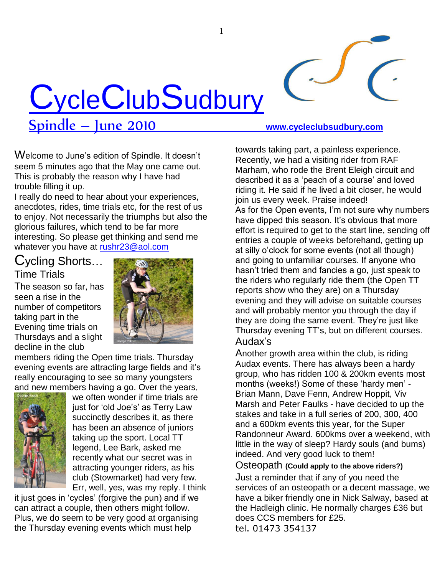

Spindle – June 2010 **www.cycleclubsudbury.com**

Welcome to June"s edition of Spindle. It doesn"t seem 5 minutes ago that the May one came out. This is probably the reason why I have had trouble filling it up.

I really do need to hear about your experiences, anecdotes, rides, time trials etc, for the rest of us to enjoy. Not necessarily the triumphs but also the glorious failures, which tend to be far more interesting. So please get thinking and send me whatever you have at [rushr23@aol.com](mailto:rushr23@aol.com)

# Cycling Shorts… Time Trials

The season so far, has seen a rise in the number of competitors taking part in the Evening time trials on Thursdays and a slight decline in the club



members riding the Open time trials. Thursday evening events are attracting large fields and it"s really encouraging to see so many youngsters and new members having a go. Over the years,



we often wonder if time trials are just for 'old Joe's' as Terry Law succinctly describes it, as there has been an absence of juniors taking up the sport. Local TT legend, Lee Bark, asked me recently what our secret was in attracting younger riders, as his club (Stowmarket) had very few. Err, well, yes, was my reply. I think

it just goes in "cycles" (forgive the pun) and if we can attract a couple, then others might follow. Plus, we do seem to be very good at organising the Thursday evening events which must help

towards taking part, a painless experience. Recently, we had a visiting rider from RAF Marham, who rode the Brent Eleigh circuit and described it as a 'peach of a course' and loved riding it. He said if he lived a bit closer, he would join us every week. Praise indeed! As for the Open events, I"m not sure why numbers have dipped this season. It's obvious that more effort is required to get to the start line, sending off entries a couple of weeks beforehand, getting up at silly o"clock for some events (not all though) and going to unfamiliar courses. If anyone who hasn"t tried them and fancies a go, just speak to the riders who regularly ride them (the Open TT reports show who they are) on a Thursday evening and they will advise on suitable courses and will probably mentor you through the day if they are doing the same event. They"re just like Thursday evening TT"s, but on different courses. Audax"s

Another growth area within the club, is riding Audax events. There has always been a hardy group, who has ridden 100 & 200km events most months (weeks!) Some of these 'hardy men' -Brian Mann, Dave Fenn, Andrew Hoppit, Viv Marsh and Peter Faulks - have decided to up the stakes and take in a full series of 200, 300, 400 and a 600km events this year, for the Super Randonneur Award. 600kms over a weekend, with little in the way of sleep? Hardy souls (and bums) indeed. And very good luck to them!

Osteopath **(Could apply to the above riders?)**

Just a reminder that if any of you need the services of an osteopath or a decent massage, we have a biker friendly one in Nick Salway, based at the Hadleigh clinic. He normally charges £36 but does CCS members for £25. tel. 01473 354137

1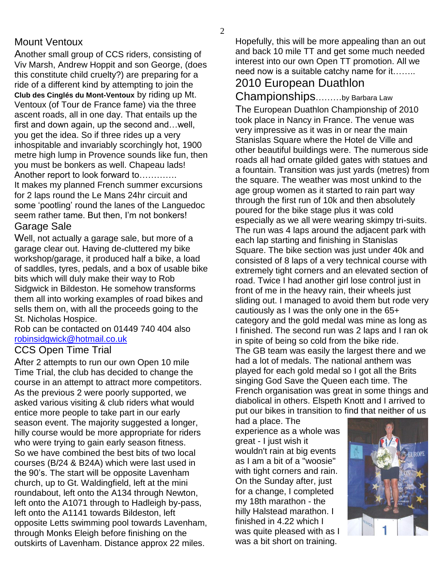## Mount Ventoux

Another small group of CCS riders, consisting of Viv Marsh, Andrew Hoppit and son George, (does this constitute child cruelty?) are preparing for a ride of a different kind by attempting to join the **Club des Cinglés du Mont-Ventoux** by riding up Mt. Ventoux (of Tour de France fame) via the three ascent roads, all in one day. That entails up the first and down again, up the second and…well, you get the idea. So if three rides up a very inhospitable and invariably scorchingly hot, 1900 metre high lump in Provence sounds like fun, then you must be bonkers as well. Chapeau lads! Another report to look forward to………….

It makes my planned French summer excursions for 2 laps round the Le Mans 24hr circuit and some "pootling" round the lanes of the Languedoc seem rather tame. But then, I"m not bonkers! Garage Sale

Well, not actually a garage sale, but more of a garage clear out. Having de-cluttered my bike workshop/garage, it produced half a bike, a load of saddles, tyres, pedals, and a box of usable bike bits which will duly make their way to Rob Sidgwick in Bildeston. He somehow transforms them all into working examples of road bikes and sells them on, with all the proceeds going to the St. Nicholas Hospice.

Rob can be contacted on 01449 740 404 also [robinsidgwick@hotmail.co.uk](mailto:robinsidgwick@hotmail.co.uk)

## CCS Open Time Trial

After 2 attempts to run our own Open 10 mile Time Trial, the club has decided to change the course in an attempt to attract more competitors. As the previous 2 were poorly supported, we asked various visiting & club riders what would entice more people to take part in our early season event. The majority suggested a longer, hilly course would be more appropriate for riders who were trying to gain early season fitness. So we have combined the best bits of two local courses (B/24 & B24A) which were last used in the 90"s. The start will be opposite Lavenham church, up to Gt. Waldingfield, left at the mini roundabout, left onto the A134 through Newton, left onto the A1071 through to Hadleigh by-pass, left onto the A1141 towards Bildeston, left opposite Letts swimming pool towards Lavenham, through Monks Eleigh before finishing on the outskirts of Lavenham. Distance approx 22 miles.

Hopefully, this will be more appealing than an out and back 10 mile TT and get some much needed interest into our own Open TT promotion. All we need now is a suitable catchy name for it……..

# 2010 European Duathlon

Championships………by Barbara Law The European Duathlon Championship of 2010 took place in Nancy in France. The venue was very impressive as it was in or near the main Stanislas Square where the Hotel de Ville and other beautiful buildings were. The numerous side roads all had ornate gilded gates with statues and a fountain. Transition was just yards (metres) from the square. The weather was most unkind to the age group women as it started to rain part way through the first run of 10k and then absolutely poured for the bike stage plus it was cold especially as we all were wearing skimpy tri-suits. The run was 4 laps around the adjacent park with each lap starting and finishing in Stanislas Square. The bike section was just under 40k and consisted of 8 laps of a very technical course with extremely tight corners and an elevated section of road. Twice I had another girl lose control just in front of me in the heavy rain, their wheels just sliding out. I managed to avoid them but rode very cautiously as I was the only one in the 65+ category and the gold medal was mine as long as I finished. The second run was 2 laps and I ran ok in spite of being so cold from the bike ride. The GB team was easily the largest there and we had a lot of medals. The national anthem was played for each gold medal so I got all the Brits singing God Save the Queen each time. The French organisation was great in some things and diabolical in others. Elspeth Knott and I arrived to put our bikes in transition to find that neither of us

had a place. The experience as a whole was great - I just wish it wouldn't rain at big events as I am a bit of a "woosie" with tight corners and rain. On the Sunday after, just for a change, I completed my 18th marathon - the hilly Halstead marathon. I finished in 4.22 which I was quite pleased with as I was a bit short on training.

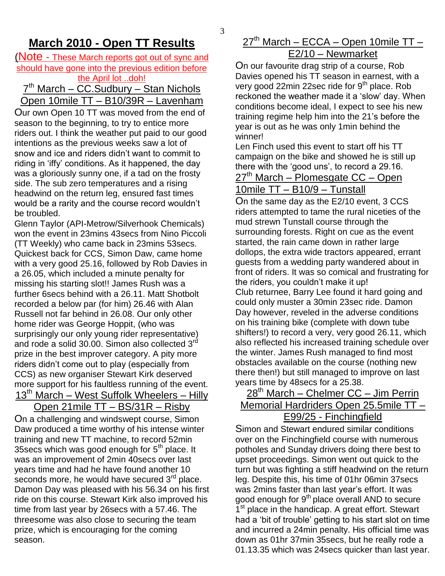## **March 2010 - Open TT Results**

#### (Note - These March reports got out of sync and should have gone into the previous edition before the April lot ..doh!

### 7<sup>th</sup> March – CC.Sudbury – Stan Nichols Open 10mile TT – B10/39R – Lavenham

Our own Open 10 TT was moved from the end of season to the beginning, to try to entice more riders out. I think the weather put paid to our good intentions as the previous weeks saw a lot of snow and ice and riders didn"t want to commit to riding in "iffy" conditions. As it happened, the day was a gloriously sunny one, if a tad on the frosty side. The sub zero temperatures and a rising headwind on the return leg, ensured fast times would be a rarity and the course record wouldn"t be troubled.

Glenn Taylor (API-Metrow/Silverhook Chemicals) won the event in 23mins 43secs from Nino Piccoli (TT Weekly) who came back in 23mins 53secs. Quickest back for CCS, Simon Daw, came home with a very good 25.16, followed by Rob Davies in a 26.05, which included a minute penalty for missing his starting slot!! James Rush was a further 6secs behind with a 26.11. Matt Shotbolt recorded a below par (for him) 26.46 with Alan Russell not far behind in 26.08. Our only other home rider was George Hoppit, (who was surprisingly our only young rider representative) and rode a solid 30.00. Simon also collected 3<sup>rd</sup> prize in the best improver category. A pity more riders didn"t come out to play (especially from CCS) as new organiser Stewart Kirk deserved more support for his faultless running of the event.  $13<sup>th</sup>$  March – West Suffolk Wheelers – Hilly

## Open 21mile TT – BS/31R – Risby

On a challenging and windswept course, Simon Daw produced a time worthy of his intense winter training and new TT machine, to record 52min 35 secs which was good enough for  $5<sup>th</sup>$  place. It was an improvement of 2min 40secs over last years time and had he have found another 10 seconds more, he would have secured  $3<sup>rd</sup>$  place. Damon Day was pleased with his 56.34 on his first ride on this course. Stewart Kirk also improved his time from last year by 26secs with a 57.46. The threesome was also close to securing the team prize, which is encouraging for the coming season.

## $27<sup>th</sup>$  March – ECCA – Open 10mile TT – E2/10 – Newmarket

On our favourite drag strip of a course, Rob Davies opened his TT season in earnest, with a very good 22min 22sec ride for 9<sup>th</sup> place. Rob reckoned the weather made it a "slow" day. When conditions become ideal, I expect to see his new training regime help him into the 21"s before the year is out as he was only 1min behind the winner!

Len Finch used this event to start off his TT campaign on the bike and showed he is still up there with the 'good uns', to record a 29.16.  $27<sup>th</sup>$  March – Plomesgate CC – Open

## 10mile TT – B10/9 – Tunstall

On the same day as the E2/10 event, 3 CCS riders attempted to tame the rural niceties of the mud strewn Tunstall course through the surrounding forests. Right on cue as the event started, the rain came down in rather large dollops, the extra wide tractors appeared, errant guests from a wedding party wandered about in front of riders. It was so comical and frustrating for the riders, you couldn"t make it up! Club returnee, Barry Lee found it hard going and could only muster a 30min 23sec ride. Damon Day however, reveled in the adverse conditions on his training bike (complete with down tube shifters!) to record a very, very good 26.11, which also reflected his increased training schedule over the winter. James Rush managed to find most obstacles available on the course (nothing new there then!) but still managed to improve on last years time by 48secs for a 25.38.

## 28<sup>th</sup> March – Chelmer CC – Jim Perrin Memorial Hardriders Open 25.5mile TT – E99/25 - Finchingfield

Simon and Stewart endured similar conditions over on the Finchingfield course with numerous potholes and Sunday drivers doing there best to upset proceedings. Simon went out quick to the turn but was fighting a stiff headwind on the return leg. Despite this, his time of 01hr 06min 37secs was 2mins faster than last year"s effort. It was good enough for 9<sup>th</sup> place overall AND to secure 1<sup>st</sup> place in the handicap. A great effort. Stewart had a "bit of trouble" getting to his start slot on time and incurred a 24min penalty. His official time was down as 01hr 37min 35secs, but he really rode a 01.13.35 which was 24secs quicker than last year.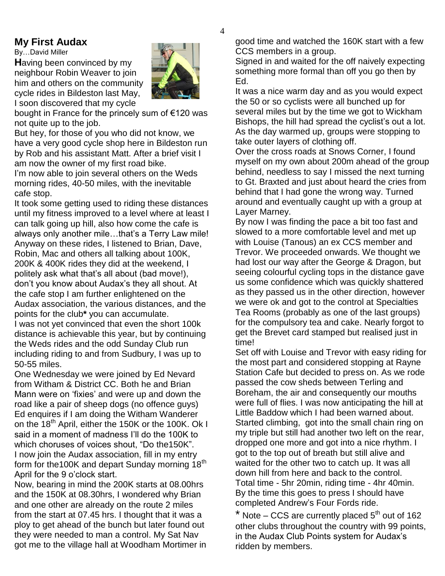### **My First Audax**

By…David Miller

**H**aving been convinced by my neighbour Robin Weaver to join him and others on the community cycle rides in Bildeston last May, I soon discovered that my cycle

bought in France for the princely sum of €120 was not quite up to the job.

But hey, for those of you who did not know, we have a very good cycle shop here in Bildeston run by Rob and his assistant Matt. After a brief visit I am now the owner of my first road bike.

I'm now able to join several others on the Weds morning rides, 40-50 miles, with the inevitable cafe stop.

It took some getting used to riding these distances until my fitness improved to a level where at least I can talk going up hill, also how come the cafe is always only another mile...that's a Terry Law mile! Anyway on these rides, I listened to Brian, Dave, Robin, Mac and others all talking about 100K, 200K & 400K rides they did at the weekend, I politely ask what that"s all about (bad move!), don"t you know about Audax"s they all shout. At the cafe stop I am further enlightened on the Audax association, the various distances, and the points for the club**\*** you can accumulate. I was not yet convinced that even the short 100k distance is achievable this year, but by continuing the Weds rides and the odd Sunday Club run

including riding to and from Sudbury, I was up to 50-55 miles.

One Wednesday we were joined by Ed Nevard from Witham & District CC. Both he and Brian Mann were on "fixies" and were up and down the road like a pair of sheep dogs (no offence guys) Ed enquires if I am doing the Witham Wanderer on the 18<sup>th</sup> April, either the 150K or the 100K. Ok I said in a moment of madness I"ll do the 100K to which choruses of voices shout, "Do the150K". I now join the Audax association, fill in my entry form for the100K and depart Sunday morning 18<sup>th</sup> April for the 9 o"clock start.

Now, bearing in mind the 200K starts at 08.00hrs and the 150K at 08.30hrs, I wondered why Brian and one other are already on the route 2 miles from the start at 07.45 hrs. I thought that it was a ploy to get ahead of the bunch but later found out they were needed to man a control. My Sat Nav got me to the village hall at Woodham Mortimer in good time and watched the 160K start with a few CCS members in a group.

Signed in and waited for the off naively expecting something more formal than off you go then by Ed.

It was a nice warm day and as you would expect the 50 or so cyclists were all bunched up for several miles but by the time we got to Wickham Bishops, the hill had spread the cyclist's out a lot. As the day warmed up, groups were stopping to take outer layers of clothing off.

Over the cross roads at Snows Corner, I found myself on my own about 200m ahead of the group behind, needless to say I missed the next turning to Gt. Braxted and just about heard the cries from behind that I had gone the wrong way. Turned around and eventually caught up with a group at Layer Marney.

By now I was finding the pace a bit too fast and slowed to a more comfortable level and met up with Louise (Tanous) an ex CCS member and Trevor. We proceeded onwards. We thought we had lost our way after the George & Dragon, but seeing colourful cycling tops in the distance gave us some confidence which was quickly shattered as they passed us in the other direction, however we were ok and got to the control at Specialties Tea Rooms (probably as one of the last groups) for the compulsory tea and cake. Nearly forgot to get the Brevet card stamped but realised just in time!

Set off with Louise and Trevor with easy riding for the most part and considered stopping at Rayne Station Cafe but decided to press on. As we rode passed the cow sheds between Terling and Boreham, the air and consequently our mouths were full of flies. I was now anticipating the hill at Little Baddow which I had been warned about. Started climbing, got into the small chain ring on my triple but still had another two left on the rear, dropped one more and got into a nice rhythm. I got to the top out of breath but still alive and waited for the other two to catch up. It was all down hill from here and back to the control. Total time - 5hr 20min, riding time - 4hr 40min. By the time this goes to press I should have completed Andrew"s Four Fords ride.

 $*$  Note – CCS are currently placed  $5<sup>th</sup>$  out of 162 other clubs throughout the country with 99 points, in the Audax Club Points system for Audax"s ridden by members.

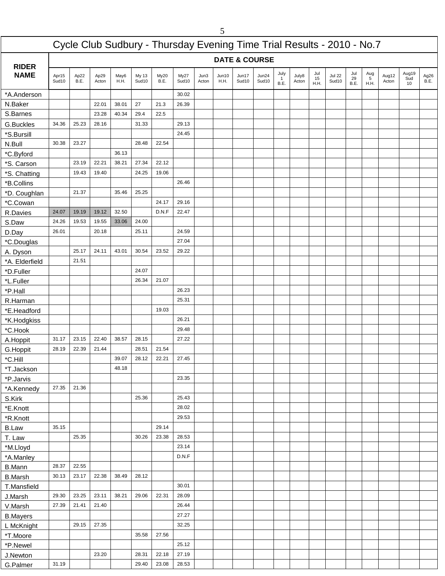|                        |                |              |               |              |                |                                                                        |                |               | 5             |                |                          |                   |                |                   |                        |                   |                              |                |                    |                     |
|------------------------|----------------|--------------|---------------|--------------|----------------|------------------------------------------------------------------------|----------------|---------------|---------------|----------------|--------------------------|-------------------|----------------|-------------------|------------------------|-------------------|------------------------------|----------------|--------------------|---------------------|
|                        |                |              |               |              |                | Cycle Club Sudbury - Thursday Evening Time Trial Results - 2010 - No.7 |                |               |               |                |                          |                   |                |                   |                        |                   |                              |                |                    |                     |
| <b>RIDER</b>           |                |              |               |              |                |                                                                        |                |               |               |                | <b>DATE &amp; COURSE</b> |                   |                |                   |                        |                   |                              |                |                    |                     |
| <b>NAME</b>            | Apr15<br>Sud10 | Ap22<br>B.E. | Ap29<br>Acton | May6<br>H.H. | My 13<br>Sud10 | My20<br>B.E.                                                           | My27<br>Sud10  | Jun3<br>Acton | Jun10<br>H.H. | Jun17<br>Sud10 | Jun24<br>Sud10           | July<br>1<br>B.E. | July8<br>Acton | Jul<br>15<br>H.H. | <b>Jul 22</b><br>Sud10 | Jul<br>29<br>B.E. | Aug<br>$\frac{5}{5}$<br>H.H. | Aug12<br>Acton | Aug19<br>Sud<br>10 | Ag26<br><b>B.E.</b> |
| *A.Anderson            |                |              |               |              |                |                                                                        | 30.02          |               |               |                |                          |                   |                |                   |                        |                   |                              |                |                    |                     |
| N.Baker                |                |              | 22.01         | 38.01        | 27             | 21.3                                                                   | 26.39          |               |               |                |                          |                   |                |                   |                        |                   |                              |                |                    |                     |
| S.Barnes               |                |              | 23.28         | 40.34        | 29.4           | 22.5                                                                   |                |               |               |                |                          |                   |                |                   |                        |                   |                              |                |                    |                     |
| G.Buckles              | 34.36          | 25.23        | 28.16         |              | 31.33          |                                                                        | 29.13          |               |               |                |                          |                   |                |                   |                        |                   |                              |                |                    |                     |
| *S.Bursill             |                |              |               |              |                |                                                                        | 24.45          |               |               |                |                          |                   |                |                   |                        |                   |                              |                |                    |                     |
| N.Bull                 | 30.38          | 23.27        |               |              | 28.48          | 22.54                                                                  |                |               |               |                |                          |                   |                |                   |                        |                   |                              |                |                    |                     |
| *C.Byford              |                |              |               | 36.13        |                |                                                                        |                |               |               |                |                          |                   |                |                   |                        |                   |                              |                |                    |                     |
| *S. Carson             |                | 23.19        | 22.21         | 38.21        | 27.34          | 22.12                                                                  |                |               |               |                |                          |                   |                |                   |                        |                   |                              |                |                    |                     |
| *S. Chatting           |                | 19.43        | 19.40         |              | 24.25          | 19.06                                                                  |                |               |               |                |                          |                   |                |                   |                        |                   |                              |                |                    |                     |
| *B.Collins             |                |              |               |              |                |                                                                        | 26.46          |               |               |                |                          |                   |                |                   |                        |                   |                              |                |                    |                     |
| *D. Coughlan           |                | 21.37        |               | 35.46        | 25.25          |                                                                        |                |               |               |                |                          |                   |                |                   |                        |                   |                              |                |                    |                     |
| *C.Cowan               |                |              |               |              |                | 24.17                                                                  | 29.16          |               |               |                |                          |                   |                |                   |                        |                   |                              |                |                    |                     |
| R.Davies               | 24.07          | 19.19        | 19.12         | 32.50        |                | D.N.F                                                                  | 22.47          |               |               |                |                          |                   |                |                   |                        |                   |                              |                |                    |                     |
| S.Daw                  | 24.26          | 19.53        | 19.55         | 33.06        | 24.00          |                                                                        |                |               |               |                |                          |                   |                |                   |                        |                   |                              |                |                    |                     |
| D.Day                  | 26.01          |              | 20.18         |              | 25.11          |                                                                        | 24.59          |               |               |                |                          |                   |                |                   |                        |                   |                              |                |                    |                     |
| *C.Douglas             |                |              |               |              |                |                                                                        | 27.04          |               |               |                |                          |                   |                |                   |                        |                   |                              |                |                    |                     |
| A. Dyson               |                | 25.17        | 24.11         | 43.01        | 30.54          | 23.52                                                                  | 29.22          |               |               |                |                          |                   |                |                   |                        |                   |                              |                |                    |                     |
| *A. Elderfield         |                | 21.51        |               |              | 24.07          |                                                                        |                |               |               |                |                          |                   |                |                   |                        |                   |                              |                |                    |                     |
| *D.Fuller<br>*L.Fuller |                |              |               |              | 26.34          | 21.07                                                                  |                |               |               |                |                          |                   |                |                   |                        |                   |                              |                |                    |                     |
| *P.Hall                |                |              |               |              |                |                                                                        | 26.23          |               |               |                |                          |                   |                |                   |                        |                   |                              |                |                    |                     |
| R.Harman               |                |              |               |              |                |                                                                        | 25.31          |               |               |                |                          |                   |                |                   |                        |                   |                              |                |                    |                     |
| *E.Headford            |                |              |               |              |                | 19.03                                                                  |                |               |               |                |                          |                   |                |                   |                        |                   |                              |                |                    |                     |
| *K.Hodgkiss            |                |              |               |              |                |                                                                        | 26.21          |               |               |                |                          |                   |                |                   |                        |                   |                              |                |                    |                     |
| *C.Hook                |                |              |               |              |                |                                                                        | 29.48          |               |               |                |                          |                   |                |                   |                        |                   |                              |                |                    |                     |
| A.Hoppit               | 31.17          | 23.15        | 22.40         | 38.57        | 28.15          |                                                                        | 27.22          |               |               |                |                          |                   |                |                   |                        |                   |                              |                |                    |                     |
| G.Hoppit               | 28.19          | 22.39        | 21.44         |              | 28.51          | 21.54                                                                  |                |               |               |                |                          |                   |                |                   |                        |                   |                              |                |                    |                     |
| *C.Hill                |                |              |               | 39.07        | 28.12          | 22.21                                                                  | 27.45          |               |               |                |                          |                   |                |                   |                        |                   |                              |                |                    |                     |
| *T.Jackson             |                |              |               | 48.18        |                |                                                                        |                |               |               |                |                          |                   |                |                   |                        |                   |                              |                |                    |                     |
| *P.Jarvis              |                |              |               |              |                |                                                                        | 23.35          |               |               |                |                          |                   |                |                   |                        |                   |                              |                |                    |                     |
| *A.Kennedy             | 27.35          | 21.36        |               |              |                |                                                                        |                |               |               |                |                          |                   |                |                   |                        |                   |                              |                |                    |                     |
| S.Kirk                 |                |              |               |              | 25.36          |                                                                        | 25.43          |               |               |                |                          |                   |                |                   |                        |                   |                              |                |                    |                     |
| *E.Knott               |                |              |               |              |                |                                                                        | 28.02          |               |               |                |                          |                   |                |                   |                        |                   |                              |                |                    |                     |
| *R.Knott               |                |              |               |              |                |                                                                        | 29.53          |               |               |                |                          |                   |                |                   |                        |                   |                              |                |                    |                     |
| <b>B.Law</b>           | 35.15          |              |               |              |                | 29.14                                                                  |                |               |               |                |                          |                   |                |                   |                        |                   |                              |                |                    |                     |
| T. Law                 |                | 25.35        |               |              | 30.26          | 23.38                                                                  | 28.53          |               |               |                |                          |                   |                |                   |                        |                   |                              |                |                    |                     |
| *M.Lloyd               |                |              |               |              |                |                                                                        | 23.14          |               |               |                |                          |                   |                |                   |                        |                   |                              |                |                    |                     |
| *A.Manley              |                |              |               |              |                |                                                                        | D.N.F          |               |               |                |                          |                   |                |                   |                        |                   |                              |                |                    |                     |
| <b>B.Mann</b>          | 28.37          | 22.55        |               |              |                |                                                                        |                |               |               |                |                          |                   |                |                   |                        |                   |                              |                |                    |                     |
| <b>B.Marsh</b>         | 30.13          | 23.17        | 22.38         | 38.49        | 28.12          |                                                                        |                |               |               |                |                          |                   |                |                   |                        |                   |                              |                |                    |                     |
| T.Mansfield            |                |              |               |              |                |                                                                        | 30.01          |               |               |                |                          |                   |                |                   |                        |                   |                              |                |                    |                     |
| J.Marsh                | 29.30          | 23.25        | 23.11         | 38.21        | 29.06          | 22.31                                                                  | 28.09          |               |               |                |                          |                   |                |                   |                        |                   |                              |                |                    |                     |
| V.Marsh                | 27.39          | 21.41        | 21.40         |              |                |                                                                        | 26.44          |               |               |                |                          |                   |                |                   |                        |                   |                              |                |                    |                     |
| <b>B.Mayers</b>        |                | 29.15        | 27.35         |              |                |                                                                        | 27.27<br>32.25 |               |               |                |                          |                   |                |                   |                        |                   |                              |                |                    |                     |
| L McKnight             |                |              |               |              | 35.58          | 27.56                                                                  |                |               |               |                |                          |                   |                |                   |                        |                   |                              |                |                    |                     |
| *T.Moore               |                |              |               |              |                |                                                                        | 25.12          |               |               |                |                          |                   |                |                   |                        |                   |                              |                |                    |                     |
| *P.Newel<br>J.Newton   |                |              | 23.20         |              | 28.31          | 22.18                                                                  | 27.19          |               |               |                |                          |                   |                |                   |                        |                   |                              |                |                    |                     |
| G.Palmer               | 31.19          |              |               |              | 29.40          | 23.08                                                                  | 28.53          |               |               |                |                          |                   |                |                   |                        |                   |                              |                |                    |                     |
|                        |                |              |               |              |                |                                                                        |                |               |               |                |                          |                   |                |                   |                        |                   |                              |                |                    |                     |